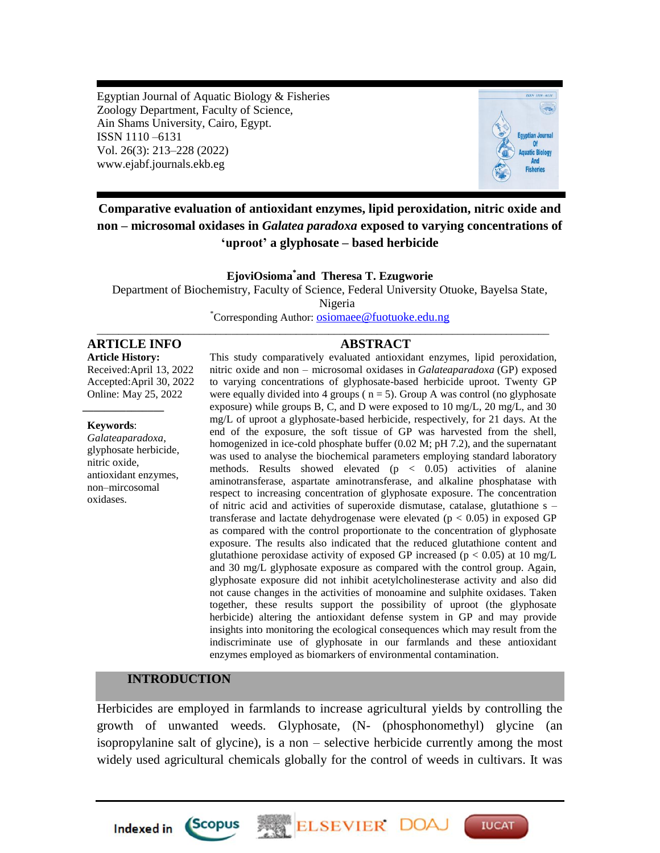Egyptian Journal of Aquatic Biology & Fisheries Zoology Department, Faculty of Science, Ain Shams University, Cairo, Egypt. ISSN 1110 –6131 Vol. 26(3): 213–228 (2022) www.ejabf.journals.ekb.eg



# **Comparative evaluation of antioxidant enzymes, lipid peroxidation, nitric oxide and non – microsomal oxidases in** *Galatea paradoxa* **exposed to varying concentrations of 'uproot' a glyphosate – based herbicide**

#### **EjoviOsioma\* and Theresa T. Ezugworie**

Department of Biochemistry, Faculty of Science, Federal University Otuoke, Bayelsa State,

Nigeria

\*Corresponding Author: [osiomaee@fuotuoke.edu.ng](mailto:osiomaee@fuotuoke.edu.ng) \_\_\_\_\_\_\_\_\_\_\_\_\_\_\_\_\_\_\_\_\_\_\_\_\_\_\_\_\_\_\_\_\_\_\_\_\_\_\_\_\_\_\_\_\_\_\_\_\_\_\_\_\_\_\_\_\_\_\_\_\_\_\_\_\_\_\_\_\_\_\_\_\_\_\_\_\_\_\_\_\_\_\_\_

## **ARTICLE INFO ABSTRACT**

**Article History:** Received:April 13, 2022 Accepted:April 30, 2022 Online: May 25, 2022 *\_\_\_\_\_\_\_\_\_\_\_\_\_\_\_*

#### **Keywords**:

*Galateaparadoxa*, glyphosate herbicide, nitric oxide, antioxidant enzymes, non–mircosomal oxidases.

This study comparatively evaluated antioxidant enzymes, lipid peroxidation, nitric oxide and non – microsomal oxidases in *Galateaparadoxa* (GP) exposed to varying concentrations of glyphosate-based herbicide uproot. Twenty GP were equally divided into 4 groups ( $n = 5$ ). Group A was control (no glyphosate exposure) while groups B, C, and D were exposed to 10 mg/L, 20 mg/L, and 30 mg/L of uproot a glyphosate-based herbicide, respectively, for 21 days. At the end of the exposure, the soft tissue of GP was harvested from the shell, homogenized in ice-cold phosphate buffer (0.02 M; pH 7.2), and the supernatant was used to analyse the biochemical parameters employing standard laboratory methods. Results showed elevated  $(p < 0.05)$  activities of alanine aminotransferase, aspartate aminotransferase, and alkaline phosphatase with respect to increasing concentration of glyphosate exposure. The concentration of nitric acid and activities of superoxide dismutase, catalase, glutathione s – transferase and lactate dehydrogenase were elevated  $(p < 0.05)$  in exposed GP as compared with the control proportionate to the concentration of glyphosate exposure. The results also indicated that the reduced glutathione content and glutathione peroxidase activity of exposed GP increased ( $p < 0.05$ ) at 10 mg/L and 30 mg/L glyphosate exposure as compared with the control group. Again, glyphosate exposure did not inhibit acetylcholinesterase activity and also did not cause changes in the activities of monoamine and sulphite oxidases. Taken together, these results support the possibility of uproot (the glyphosate herbicide) altering the antioxidant defense system in GP and may provide insights into monitoring the ecological consequences which may result from the indiscriminate use of glyphosate in our farmlands and these antioxidant enzymes employed as biomarkers of environmental contamination.

#### **INTRODUCTION**

Herbicides are employed in farmlands to increase agricultural yields by controlling the growth of unwanted weeds. Glyphosate, (N- (phosphonomethyl) glycine (an isopropylanine salt of glycine), is a non – selective herbicide currently among the most widely used agricultural chemicals globally for the control of weeds in cultivars. It was

ELSEVIER DOA

**IUCAT** 



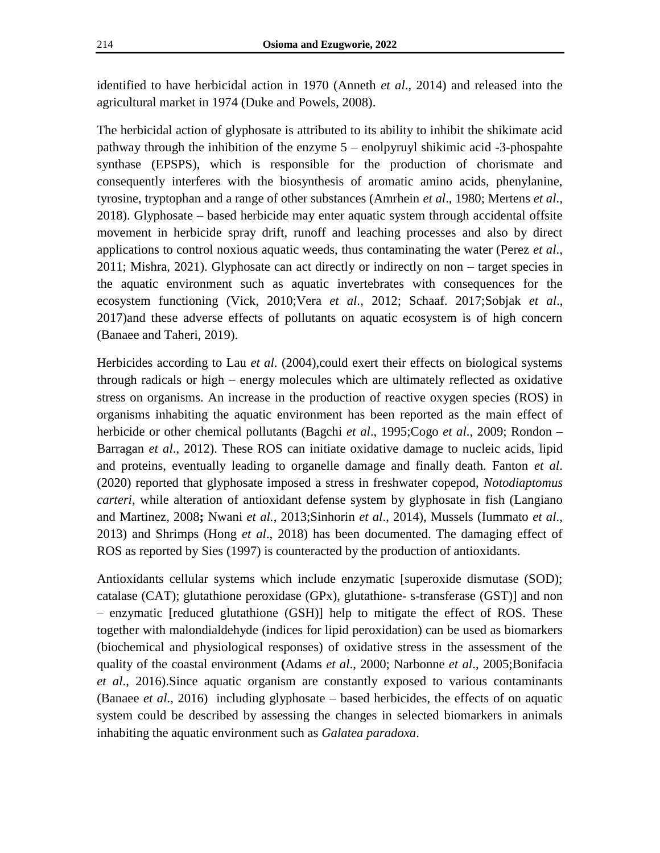identified to have herbicidal action in 1970 (Anneth *et al*., 2014) and released into the agricultural market in 1974 (Duke and Powels, 2008).

The herbicidal action of glyphosate is attributed to its ability to inhibit the shikimate acid pathway through the inhibition of the enzyme 5 – enolpyruyl shikimic acid -3-phospahte synthase (EPSPS), which is responsible for the production of chorismate and consequently interferes with the biosynthesis of aromatic amino acids, phenylanine, tyrosine, tryptophan and a range of other substances (Amrhein *et al*., 1980; Mertens *et al*., 2018). Glyphosate – based herbicide may enter aquatic system through accidental offsite movement in herbicide spray drift, runoff and leaching processes and also by direct applications to control noxious aquatic weeds, thus contaminating the water (Perez *et al*., 2011; Mishra, 2021). Glyphosate can act directly or indirectly on non – target species in the aquatic environment such as aquatic invertebrates with consequences for the ecosystem functioning (Vick, 2010;Vera *et al.,* 2012; Schaaf. 2017;Sobjak *et al*., 2017)and these adverse effects of pollutants on aquatic ecosystem is of high concern (Banaee and Taheri, 2019).

Herbicides according to Lau *et al*. (2004),could exert their effects on biological systems through radicals or high – energy molecules which are ultimately reflected as oxidative stress on organisms. An increase in the production of reactive oxygen species (ROS) in organisms inhabiting the aquatic environment has been reported as the main effect of herbicide or other chemical pollutants (Bagchi *et al*., 1995;Cogo *et al*., 2009; Rondon – Barragan *et al*., 2012). These ROS can initiate oxidative damage to nucleic acids, lipid and proteins, eventually leading to organelle damage and finally death. Fanton *et al*. (2020) reported that glyphosate imposed a stress in freshwater copepod, *Notodiaptomus carteri*, while alteration of antioxidant defense system by glyphosate in fish (Langiano and Martinez, 2008**;** Nwani *et al.*, 2013;Sinhorin *et al*., 2014), Mussels (Iummato *et al*., 2013) and Shrimps (Hong *et al*., 2018) has been documented. The damaging effect of ROS as reported by Sies (1997) is counteracted by the production of antioxidants.

Antioxidants cellular systems which include enzymatic [superoxide dismutase (SOD); catalase (CAT); glutathione peroxidase (GPx), glutathione- s-transferase (GST)] and non – enzymatic [reduced glutathione (GSH)] help to mitigate the effect of ROS. These together with malondialdehyde (indices for lipid peroxidation) can be used as biomarkers (biochemical and physiological responses) of oxidative stress in the assessment of the quality of the coastal environment **(**Adams *et al*., 2000; Narbonne *et al*., 2005;Bonifacia *et al*., 2016).Since aquatic organism are constantly exposed to various contaminants (Banaee *et al*., 2016) including glyphosate – based herbicides, the effects of on aquatic system could be described by assessing the changes in selected biomarkers in animals inhabiting the aquatic environment such as *Galatea paradoxa*.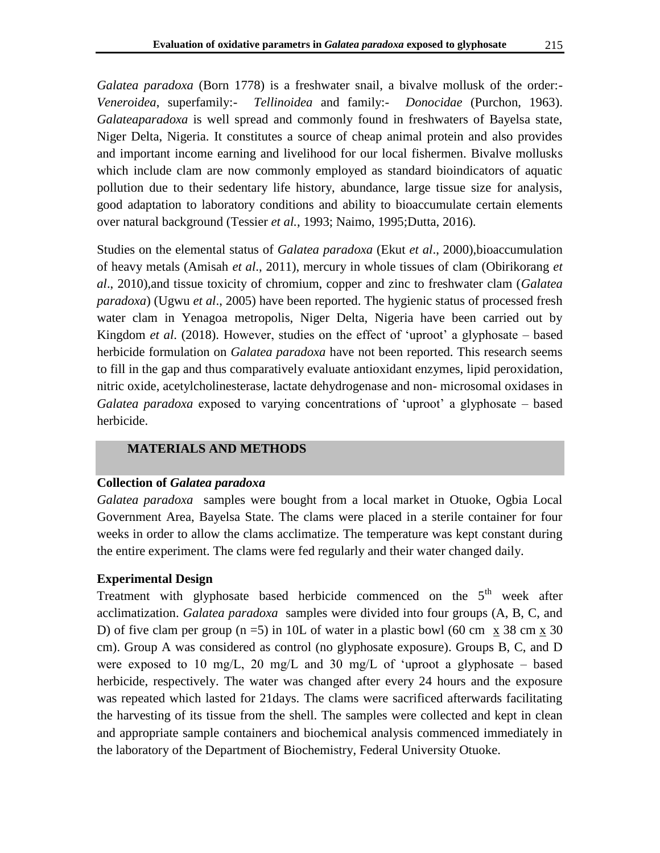*Galatea paradoxa* (Born 1778) is a freshwater snail, a bivalve mollusk of the order:- *Veneroidea*, superfamily:- *Tellinoidea* and family:- *Donocidae* (Purchon, 1963). *Galateaparadoxa* is well spread and commonly found in freshwaters of Bayelsa state, Niger Delta, Nigeria. It constitutes a source of cheap animal protein and also provides and important income earning and livelihood for our local fishermen. Bivalve mollusks which include clam are now commonly employed as standard bioindicators of aquatic pollution due to their sedentary life history, abundance, large tissue size for analysis, good adaptation to laboratory conditions and ability to bioaccumulate certain elements over natural background (Tessier *et al.*, 1993; Naimo, 1995;Dutta, 2016).

Studies on the elemental status of *Galatea paradoxa* (Ekut *et al*., 2000),bioaccumulation of heavy metals (Amisah *et al*., 2011), mercury in whole tissues of clam (Obirikorang *et al*., 2010),and tissue toxicity of chromium, copper and zinc to freshwater clam (*Galatea paradoxa*) (Ugwu *et al*., 2005) have been reported. The hygienic status of processed fresh water clam in Yenagoa metropolis, Niger Delta, Nigeria have been carried out by Kingdom *et al.* (2018). However, studies on the effect of 'uproot' a glyphosate – based herbicide formulation on *Galatea paradoxa* have not been reported. This research seems to fill in the gap and thus comparatively evaluate antioxidant enzymes, lipid peroxidation, nitric oxide, acetylcholinesterase, lactate dehydrogenase and non- microsomal oxidases in *Galatea paradoxa* exposed to varying concentrations of "uproot" a glyphosate – based herbicide.

## **MATERIALS AND METHODS**

#### **Collection of** *Galatea paradoxa*

*Galatea paradoxa* samples were bought from a local market in Otuoke, Ogbia Local Government Area, Bayelsa State. The clams were placed in a sterile container for four weeks in order to allow the clams acclimatize. The temperature was kept constant during the entire experiment. The clams were fed regularly and their water changed daily.

#### **Experimental Design**

Treatment with glyphosate based herbicide commenced on the  $5<sup>th</sup>$  week after acclimatization. *Galatea paradoxa* samples were divided into four groups (A, B, C, and D) of five clam per group  $(n = 5)$  in 10L of water in a plastic bowl (60 cm x 38 cm x 30) cm). Group A was considered as control (no glyphosate exposure). Groups B, C, and D were exposed to 10 mg/L, 20 mg/L and 30 mg/L of 'uproot a glyphosate – based herbicide, respectively. The water was changed after every 24 hours and the exposure was repeated which lasted for 21days. The clams were sacrificed afterwards facilitating the harvesting of its tissue from the shell. The samples were collected and kept in clean and appropriate sample containers and biochemical analysis commenced immediately in the laboratory of the Department of Biochemistry, Federal University Otuoke.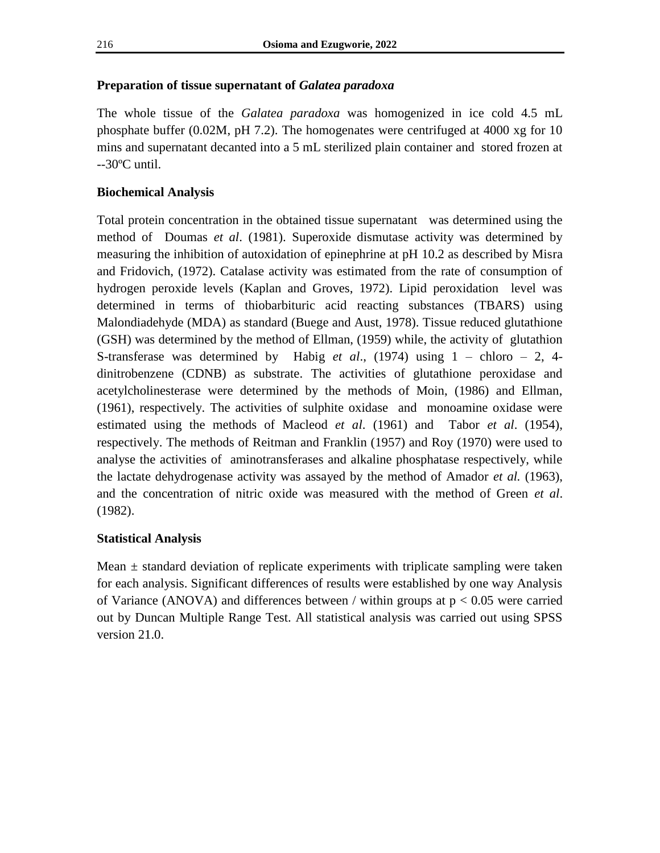## **Preparation of tissue supernatant of** *Galatea paradoxa*

The whole tissue of the *Galatea paradoxa* was homogenized in ice cold 4.5 mL phosphate buffer (0.02M, pH 7.2). The homogenates were centrifuged at 4000 xg for 10 mins and supernatant decanted into a 5 mL sterilized plain container and stored frozen at --30ºC until.

## **Biochemical Analysis**

Total protein concentration in the obtained tissue supernatant was determined using the method of Doumas *et al*. (1981). Superoxide dismutase activity was determined by measuring the inhibition of autoxidation of epinephrine at pH 10.2 as described by Misra and Fridovich, (1972). Catalase activity was estimated from the rate of consumption of hydrogen peroxide levels (Kaplan and Groves, 1972). Lipid peroxidation level was determined in terms of thiobarbituric acid reacting substances (TBARS) using Malondiadehyde (MDA) as standard (Buege and Aust, 1978). Tissue reduced glutathione (GSH) was determined by the method of Ellman, (1959) while, the activity of glutathion S-transferase was determined by Habig *et al*., (1974) using 1 – chloro – 2, 4 dinitrobenzene (CDNB) as substrate. The activities of glutathione peroxidase and acetylcholinesterase were determined by the methods of Moin, (1986) and Ellman, (1961), respectively. The activities of sulphite oxidase and monoamine oxidase were estimated using the methods of Macleod *et al*. (1961) and Tabor *et al*. (1954), respectively. The methods of Reitman and Franklin (1957) and Roy (1970) were used to analyse the activities of aminotransferases and alkaline phosphatase respectively, while the lactate dehydrogenase activity was assayed by the method of Amador *et al.* (1963), and the concentration of nitric oxide was measured with the method of Green *et al*. (1982).

## **Statistical Analysis**

Mean  $\pm$  standard deviation of replicate experiments with triplicate sampling were taken for each analysis. Significant differences of results were established by one way Analysis of Variance (ANOVA) and differences between / within groups at  $p < 0.05$  were carried out by Duncan Multiple Range Test. All statistical analysis was carried out using SPSS version 21.0.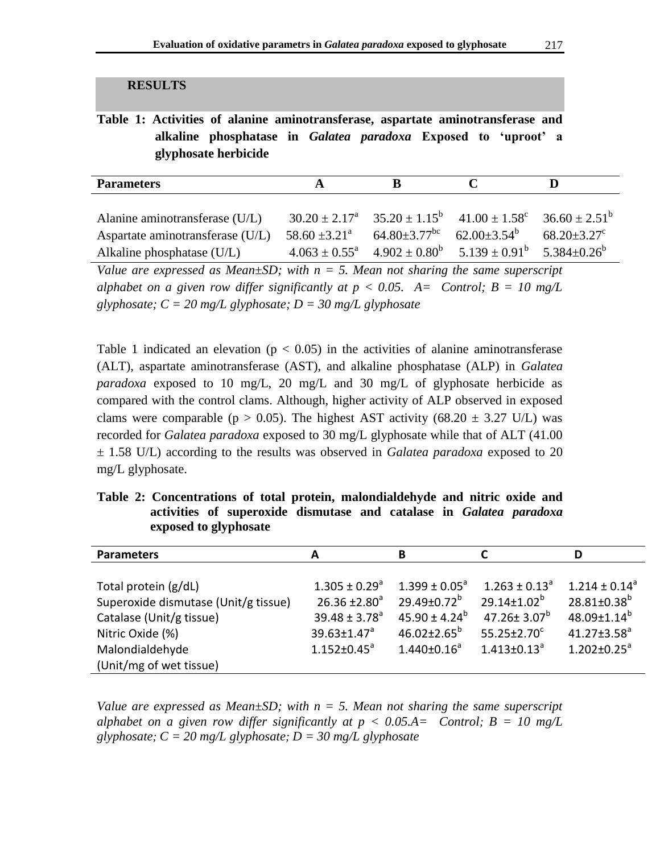#### **RESULTS**

**Table 1: Activities of alanine aminotransferase, aspartate aminotransferase and alkaline phosphatase in** *Galatea paradoxa* **Exposed to 'uproot' a glyphosate herbicide**

| <b>Parameters</b>                                                                                | A                                                                                |                                                              |                                                                                            |                                                                                 |
|--------------------------------------------------------------------------------------------------|----------------------------------------------------------------------------------|--------------------------------------------------------------|--------------------------------------------------------------------------------------------|---------------------------------------------------------------------------------|
| Alanine aminotransferase (U/L)<br>Aspartate aminotransferase (U/L)<br>Alkaline phosphatase (U/L) | $30.20 \pm 2.17^{\circ}$<br>$58.60 \pm 3.21^{\circ}$<br>$4.063 \pm 0.55^{\circ}$ | $64.80 \pm 3.77$ <sup>bc</sup> $62.00 \pm 3.54$ <sup>b</sup> | $35.20 \pm 1.15^b$ $41.00 \pm 1.58^c$<br>$4.902 \pm 0.80^{\circ}$ $5.139 \pm 0.91^{\circ}$ | $36.60 \pm 2.51^{\circ}$<br>$68.20 \pm 3.27$ <sup>c</sup><br>$5.384 \pm 0.26^b$ |

*Value are expressed as Mean* $\pm$ *SD; with n = 5. Mean not sharing the same superscript alphabet on a given row differ significantly at*  $p < 0.05$ *. A= Control; B = 10 mg/L glyphosate; C = 20 mg/L glyphosate; D = 30 mg/L glyphosate*

Table 1 indicated an elevation ( $p < 0.05$ ) in the activities of alanine aminotransferase (ALT), aspartate aminotransferase (AST), and alkaline phosphatase (ALP) in *Galatea paradoxa* exposed to 10 mg/L, 20 mg/L and 30 mg/L of glyphosate herbicide as compared with the control clams. Although, higher activity of ALP observed in exposed clams were comparable ( $p > 0.05$ ). The highest AST activity (68.20  $\pm$  3.27 U/L) was recorded for *Galatea paradoxa* exposed to 30 mg/L glyphosate while that of ALT (41.00 ± 1.58 U/L) according to the results was observed in *Galatea paradoxa* exposed to 20 mg/L glyphosate.

**Table 2: Concentrations of total protein, malondialdehyde and nitric oxide and activities of superoxide dismutase and catalase in** *Galatea paradoxa* **exposed to glyphosate**

| <b>Parameters</b>                    | А                             | В                        |                               | D                             |
|--------------------------------------|-------------------------------|--------------------------|-------------------------------|-------------------------------|
|                                      |                               |                          |                               |                               |
| Total protein (g/dL)                 | $1.305 \pm 0.29$ <sup>a</sup> | $1.399 \pm 0.05^{\circ}$ | $1.263 \pm 0.13^a$            | $1.214 \pm 0.14^a$            |
| Superoxide dismutase (Unit/g tissue) | $26.36 \pm 2.80^a$            | $29.49 \pm 0.72^b$       | $29.14 \pm 1.02^b$            | $28.81 \pm 0.38$ <sup>b</sup> |
| Catalase (Unit/g tissue)             | $39.48 \pm 3.78^a$            | $45.90 \pm 4.24^b$       | 47.26 $\pm$ 3.07 <sup>b</sup> | $48.09 \pm 1.14^b$            |
| Nitric Oxide (%)                     | $39.63 \pm 1.47$ <sup>a</sup> | $46.02 \pm 2.65^{\circ}$ | $55.25 \pm 2.70^c$            | $41.27 \pm 3.58^a$            |
| Malondialdehyde                      | $1.152 \pm 0.45$ <sup>a</sup> | $1.440 \pm 0.16^a$       | $1.413 \pm 0.13^a$            | $1.202 \pm 0.25$ <sup>a</sup> |
| (Unit/mg of wet tissue)              |                               |                          |                               |                               |

*Value are expressed as Mean* $\pm$ *SD; with n = 5. Mean not sharing the same superscript alphabet on a given row differ significantly at*  $p < 0.05.A =$  *Control;*  $B = 10 mg/L$ *glyphosate; C = 20 mg/L glyphosate; D = 30 mg/L glyphosate*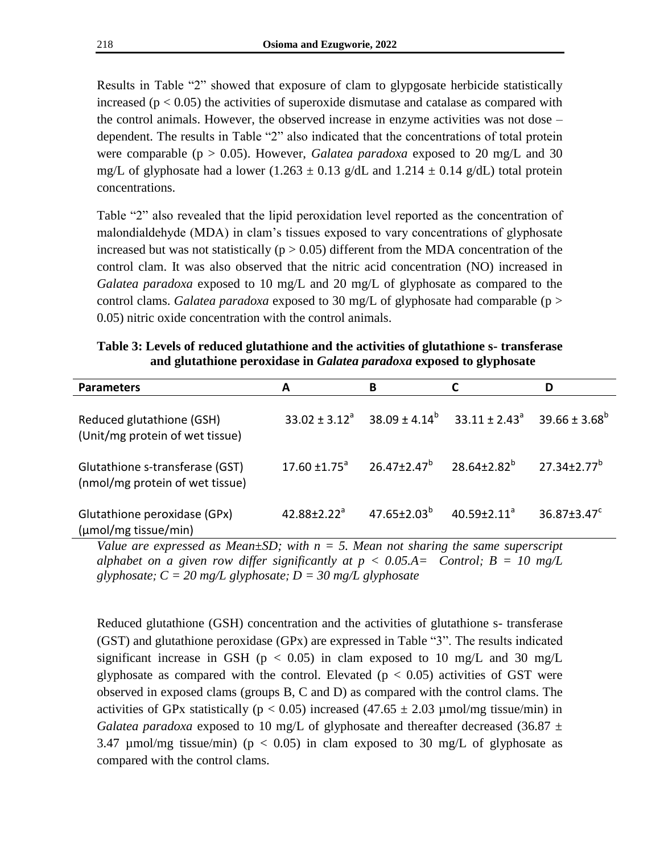Results in Table "2" showed that exposure of clam to glypgosate herbicide statistically increased ( $p < 0.05$ ) the activities of superoxide dismutase and catalase as compared with the control animals. However, the observed increase in enzyme activities was not dose – dependent. The results in Table "2" also indicated that the concentrations of total protein were comparable (p > 0.05). However, *Galatea paradoxa* exposed to 20 mg/L and 30 mg/L of glyphosate had a lower (1.263  $\pm$  0.13 g/dL and 1.214  $\pm$  0.14 g/dL) total protein concentrations.

Table "2" also revealed that the lipid peroxidation level reported as the concentration of malondialdehyde (MDA) in clam"s tissues exposed to vary concentrations of glyphosate increased but was not statistically ( $p > 0.05$ ) different from the MDA concentration of the control clam. It was also observed that the nitric acid concentration (NO) increased in *Galatea paradoxa* exposed to 10 mg/L and 20 mg/L of glyphosate as compared to the control clams. *Galatea paradoxa* exposed to 30 mg/L of glyphosate had comparable (p > 0.05) nitric oxide concentration with the control animals.

| Table 3: Levels of reduced glutathione and the activities of glutathione s- transferase |
|-----------------------------------------------------------------------------------------|
| and glutathione peroxidase in <i>Galatea paradoxa</i> exposed to glyphosate             |

| <b>Parameters</b>                                                  | А                        | В                             |                          | D                  |
|--------------------------------------------------------------------|--------------------------|-------------------------------|--------------------------|--------------------|
| Reduced glutathione (GSH)<br>(Unit/mg protein of wet tissue)       | $33.02 \pm 3.12^a$       | $38.09 \pm 4.14^b$            | $33.11 \pm 2.43^{\circ}$ | $39.66 \pm 3.68^b$ |
| Glutathione s-transferase (GST)<br>(nmol/mg protein of wet tissue) | $17.60 \pm 1.75^{\circ}$ | $26.47 \pm 2.47$ <sup>b</sup> | $28.64 \pm 2.82^b$       | $27.34 + 2.77^b$   |
| Glutathione peroxidase (GPx)<br>(µmol/mg tissue/min)               | $42.88 \pm 2.22^a$       | $47.65 \pm 2.03^b$            | $40.59 \pm 2.11^a$       | $36.87 \pm 3.47^c$ |

*Value are expressed as Mean* $\pm$ *SD; with n = 5. Mean not sharing the same superscript alphabet on a given row differ significantly at*  $p < 0.05.A =$  *Control;*  $B = 10 mg/L$ *glyphosate; C = 20 mg/L glyphosate; D = 30 mg/L glyphosate*

Reduced glutathione (GSH) concentration and the activities of glutathione s- transferase (GST) and glutathione peroxidase (GPx) are expressed in Table "3". The results indicated significant increase in GSH ( $p < 0.05$ ) in clam exposed to 10 mg/L and 30 mg/L glyphosate as compared with the control. Elevated  $(p < 0.05)$  activities of GST were observed in exposed clams (groups B, C and D) as compared with the control clams. The activities of GPx statistically ( $p < 0.05$ ) increased (47.65  $\pm$  2.03 µmol/mg tissue/min) in *Galatea paradoxa* exposed to 10 mg/L of glyphosate and thereafter decreased (36.87  $\pm$ 3.47 µmol/mg tissue/min) ( $p < 0.05$ ) in clam exposed to 30 mg/L of glyphosate as compared with the control clams.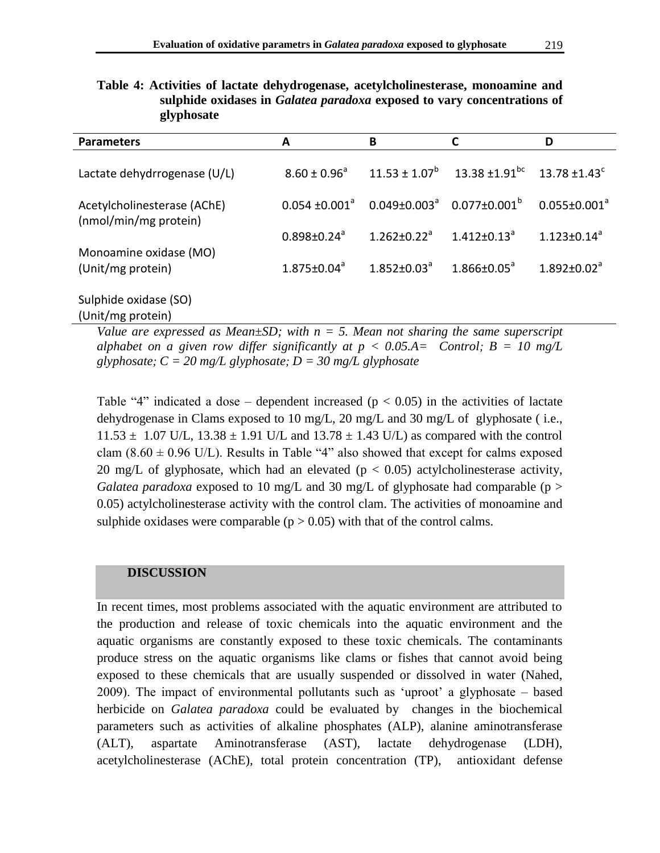| ⊂ • ⊥                                                |                         |                               |                                          |                               |
|------------------------------------------------------|-------------------------|-------------------------------|------------------------------------------|-------------------------------|
| <b>Parameters</b>                                    | A                       | B                             | C                                        | D                             |
| Lactate dehydrrogenase (U/L)                         | $8.60 \pm 0.96^{\circ}$ |                               | $11.53 \pm 1.07^b$ 13.38 $\pm 1.91^{bc}$ | $13.78 \pm 1.43$ <sup>c</sup> |
| Acetylcholinesterase (AChE)<br>(nmol/min/mg protein) | $0.054 \pm 0.001^a$     | $0.049 \pm 0.003^{\circ}$     | $0.077 \pm 0.001^\mathrm{b}$             | $0.055 \pm 0.001^a$           |
|                                                      | $0.898 \pm 0.24^a$      | $1.262 \pm 0.22$ <sup>a</sup> | $1.412 \pm 0.13$ <sup>a</sup>            | $1.123 \pm 0.14^a$            |
| Monoamine oxidase (MO)<br>(Unit/mg protein)          | $1.875 \pm 0.04^a$      | $1.852 \pm 0.03^{\circ}$      | $1.866 \pm 0.05^{\circ}$                 | $1.892 \pm 0.02^a$            |
| Sulphide oxidase (SO)<br>(Unit/mg protein)           |                         |                               |                                          |                               |

**Table 4: Activities of lactate dehydrogenase, acetylcholinesterase, monoamine and sulphide oxidases in** *Galatea paradoxa* **exposed to vary concentrations of glyphosate**

*Value are expressed as Mean* $\pm$ *SD; with n = 5. Mean not sharing the same superscript alphabet on a given row differ significantly at*  $p < 0.05.A =$  *Control;*  $B = 10 mg/L$ *glyphosate; C = 20 mg/L glyphosate; D = 30 mg/L glyphosate*

Table "4" indicated a dose – dependent increased ( $p < 0.05$ ) in the activities of lactate dehydrogenase in Clams exposed to 10 mg/L, 20 mg/L and 30 mg/L of glyphosate ( i.e.,  $11.53 \pm 1.07$  U/L,  $13.38 \pm 1.91$  U/L and  $13.78 \pm 1.43$  U/L) as compared with the control clam  $(8.60 \pm 0.96 \text{ U/L})$ . Results in Table "4" also showed that except for calms exposed 20 mg/L of glyphosate, which had an elevated ( $p < 0.05$ ) actylcholinesterase activity, *Galatea paradoxa* exposed to 10 mg/L and 30 mg/L of glyphosate had comparable (p  $>$ 0.05) actylcholinesterase activity with the control clam. The activities of monoamine and sulphide oxidases were comparable ( $p > 0.05$ ) with that of the control calms.

## **DISCUSSION**

In recent times, most problems associated with the aquatic environment are attributed to the production and release of toxic chemicals into the aquatic environment and the aquatic organisms are constantly exposed to these toxic chemicals. The contaminants produce stress on the aquatic organisms like clams or fishes that cannot avoid being exposed to these chemicals that are usually suspended or dissolved in water (Nahed, 2009). The impact of environmental pollutants such as "uproot" a glyphosate – based herbicide on *Galatea paradoxa* could be evaluated by changes in the biochemical parameters such as activities of alkaline phosphates (ALP), alanine aminotransferase (ALT), aspartate Aminotransferase (AST), lactate dehydrogenase (LDH), acetylcholinesterase (AChE), total protein concentration (TP), antioxidant defense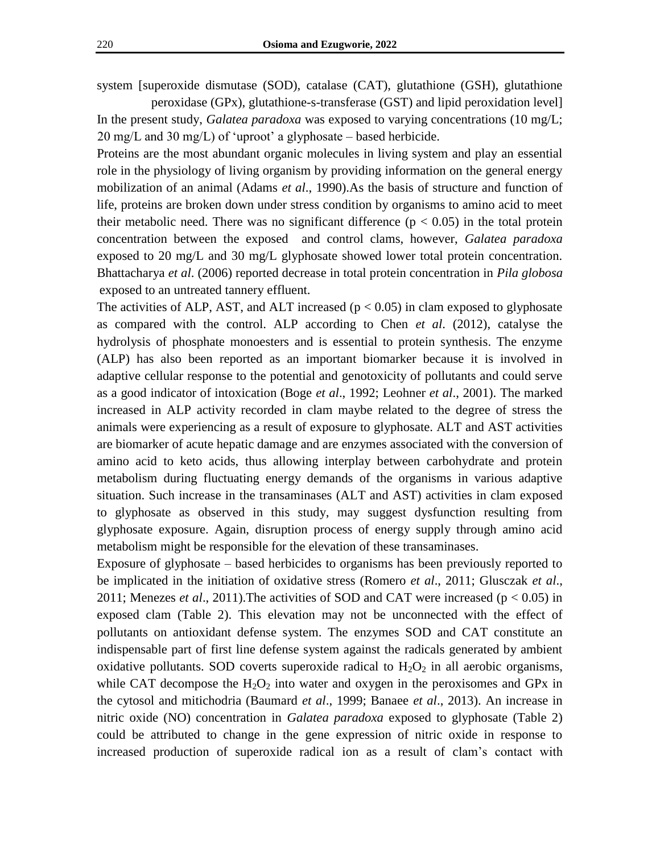system [superoxide dismutase (SOD), catalase (CAT), glutathione (GSH), glutathione

peroxidase (GPx), glutathione-s-transferase (GST) and lipid peroxidation level] In the present study, *Galatea paradoxa* was exposed to varying concentrations (10 mg/L;  $20 \text{ mg/L}$  and  $30 \text{ mg/L}$ ) of 'uproot' a glyphosate – based herbicide.

Proteins are the most abundant organic molecules in living system and play an essential role in the physiology of living organism by providing information on the general energy mobilization of an animal (Adams *et al*., 1990).As the basis of structure and function of life, proteins are broken down under stress condition by organisms to amino acid to meet their metabolic need. There was no significant difference ( $p < 0.05$ ) in the total protein concentration between the exposed and control clams, however, *Galatea paradoxa* exposed to 20 mg/L and 30 mg/L glyphosate showed lower total protein concentration. Bhattacharya *et al*. (2006) reported decrease in total protein concentration in *Pila globosa* exposed to an untreated tannery effluent.

The activities of ALP, AST, and ALT increased  $(p < 0.05)$  in clam exposed to glyphosate as compared with the control. ALP according to Chen *et al*. (2012), catalyse the hydrolysis of phosphate monoesters and is essential to protein synthesis. The enzyme (ALP) has also been reported as an important biomarker because it is involved in adaptive cellular response to the potential and genotoxicity of pollutants and could serve as a good indicator of intoxication (Boge *et al*., 1992; Leohner *et al*., 2001). The marked increased in ALP activity recorded in clam maybe related to the degree of stress the animals were experiencing as a result of exposure to glyphosate. ALT and AST activities are biomarker of acute hepatic damage and are enzymes associated with the conversion of amino acid to keto acids, thus allowing interplay between carbohydrate and protein metabolism during fluctuating energy demands of the organisms in various adaptive situation. Such increase in the transaminases (ALT and AST) activities in clam exposed to glyphosate as observed in this study, may suggest dysfunction resulting from glyphosate exposure. Again, disruption process of energy supply through amino acid metabolism might be responsible for the elevation of these transaminases.

Exposure of glyphosate – based herbicides to organisms has been previously reported to be implicated in the initiation of oxidative stress (Romero *et al*., 2011; Glusczak *et al*., 2011; Menezes *et al*., 2011).The activities of SOD and CAT were increased (p < 0.05) in exposed clam (Table 2). This elevation may not be unconnected with the effect of pollutants on antioxidant defense system. The enzymes SOD and CAT constitute an indispensable part of first line defense system against the radicals generated by ambient oxidative pollutants. SOD coverts superoxide radical to  $H_2O_2$  in all aerobic organisms, while CAT decompose the  $H_2O_2$  into water and oxygen in the peroxisomes and GPx in the cytosol and mitichodria (Baumard *et al*., 1999; Banaee *et al*., 2013). An increase in nitric oxide (NO) concentration in *Galatea paradoxa* exposed to glyphosate (Table 2) could be attributed to change in the gene expression of nitric oxide in response to increased production of superoxide radical ion as a result of clam"s contact with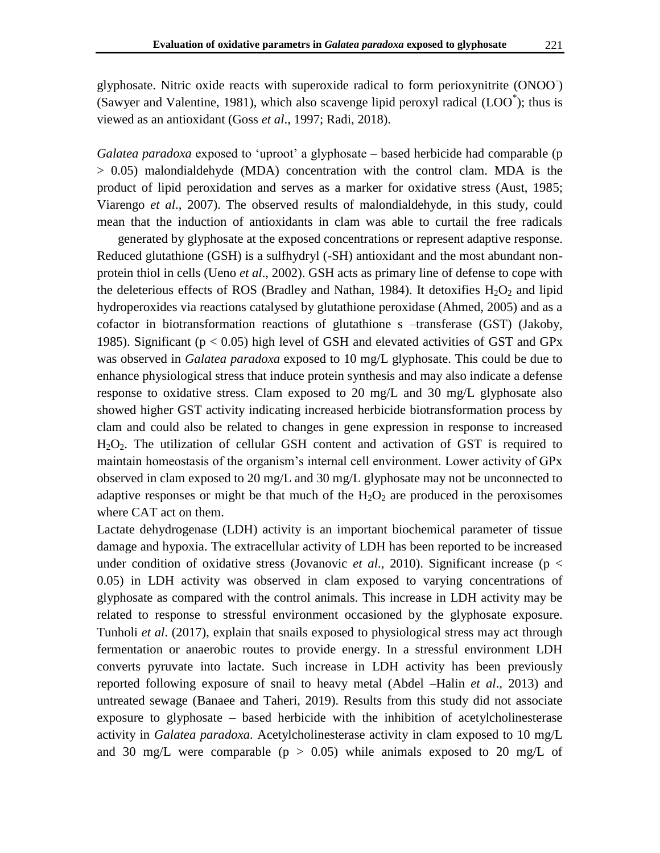glyphosate. Nitric oxide reacts with superoxide radical to form perioxynitrite (ONOO- ) (Sawyer and Valentine, 1981), which also scavenge lipid peroxyl radical (LOO\*); thus is viewed as an antioxidant (Goss *et al*., 1997; Radi, 2018).

*Galatea paradoxa* exposed to "uproot" a glyphosate – based herbicide had comparable (p > 0.05) malondialdehyde (MDA) concentration with the control clam. MDA is the product of lipid peroxidation and serves as a marker for oxidative stress (Aust, 1985; Viarengo *et al*., 2007). The observed results of malondialdehyde, in this study, could mean that the induction of antioxidants in clam was able to curtail the free radicals

generated by glyphosate at the exposed concentrations or represent adaptive response. Reduced glutathione (GSH) is a sulfhydryl (-SH) antioxidant and the most abundant nonprotein thiol in cells (Ueno *et al*., 2002). GSH acts as primary line of defense to cope with the deleterious effects of ROS (Bradley and Nathan, 1984). It detoxifies  $H_2O_2$  and lipid hydroperoxides via reactions catalysed by glutathione peroxidase (Ahmed, 2005) and as a cofactor in biotransformation reactions of glutathione s –transferase (GST) (Jakoby, 1985). Significant ( $p < 0.05$ ) high level of GSH and elevated activities of GST and GPx was observed in *Galatea paradoxa* exposed to 10 mg/L glyphosate. This could be due to enhance physiological stress that induce protein synthesis and may also indicate a defense response to oxidative stress. Clam exposed to 20 mg/L and 30 mg/L glyphosate also showed higher GST activity indicating increased herbicide biotransformation process by clam and could also be related to changes in gene expression in response to increased H<sub>2</sub>O<sub>2</sub>. The utilization of cellular GSH content and activation of GST is required to maintain homeostasis of the organism's internal cell environment. Lower activity of GPx observed in clam exposed to 20 mg/L and 30 mg/L glyphosate may not be unconnected to adaptive responses or might be that much of the  $H_2O_2$  are produced in the peroxisomes where CAT act on them.

Lactate dehydrogenase (LDH) activity is an important biochemical parameter of tissue damage and hypoxia. The extracellular activity of LDH has been reported to be increased under condition of oxidative stress (Jovanovic *et al*., 2010). Significant increase (p < 0.05) in LDH activity was observed in clam exposed to varying concentrations of glyphosate as compared with the control animals. This increase in LDH activity may be related to response to stressful environment occasioned by the glyphosate exposure. Tunholi *et al*. (2017), explain that snails exposed to physiological stress may act through fermentation or anaerobic routes to provide energy. In a stressful environment LDH converts pyruvate into lactate. Such increase in LDH activity has been previously reported following exposure of snail to heavy metal (Abdel –Halin *et al*., 2013) and untreated sewage (Banaee and Taheri, 2019). Results from this study did not associate exposure to glyphosate – based herbicide with the inhibition of acetylcholinesterase activity in *Galatea paradoxa*. Acetylcholinesterase activity in clam exposed to 10 mg/L and 30 mg/L were comparable ( $p > 0.05$ ) while animals exposed to 20 mg/L of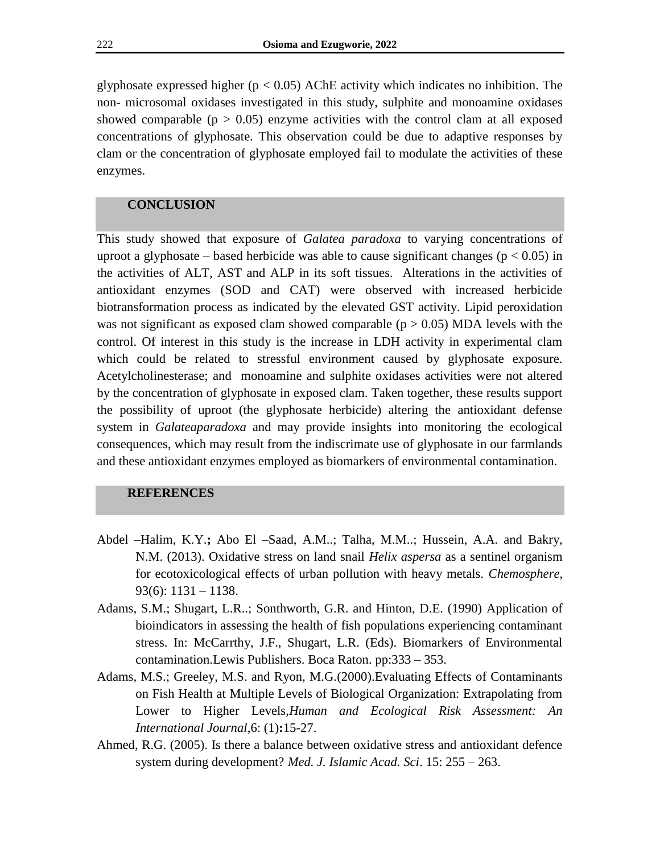glyphosate expressed higher ( $p < 0.05$ ) AChE activity which indicates no inhibition. The non- microsomal oxidases investigated in this study, sulphite and monoamine oxidases showed comparable ( $p > 0.05$ ) enzyme activities with the control clam at all exposed concentrations of glyphosate. This observation could be due to adaptive responses by clam or the concentration of glyphosate employed fail to modulate the activities of these enzymes.

#### **CONCLUSION**

This study showed that exposure of *Galatea paradoxa* to varying concentrations of uproot a glyphosate – based herbicide was able to cause significant changes ( $p < 0.05$ ) in the activities of ALT, AST and ALP in its soft tissues. Alterations in the activities of antioxidant enzymes (SOD and CAT) were observed with increased herbicide biotransformation process as indicated by the elevated GST activity. Lipid peroxidation was not significant as exposed clam showed comparable ( $p > 0.05$ ) MDA levels with the control. Of interest in this study is the increase in LDH activity in experimental clam which could be related to stressful environment caused by glyphosate exposure. Acetylcholinesterase; and monoamine and sulphite oxidases activities were not altered by the concentration of glyphosate in exposed clam. Taken together, these results support the possibility of uproot (the glyphosate herbicide) altering the antioxidant defense system in *Galateaparadoxa* and may provide insights into monitoring the ecological consequences, which may result from the indiscrimate use of glyphosate in our farmlands and these antioxidant enzymes employed as biomarkers of environmental contamination.

#### **REFERENCES**

- Abdel –Halim, K.Y.**;** Abo El –Saad, A.M..; Talha, M.M..; Hussein, A.A. and Bakry, N.M. (2013). Oxidative stress on land snail *Helix aspersa* as a sentinel organism for ecotoxicological effects of urban pollution with heavy metals. *Chemosphere*, 93(6):  $1131 - 1138$ .
- Adams, S.M.; Shugart, L.R..; Sonthworth, G.R. and Hinton, D.E. (1990) Application of bioindicators in assessing the health of fish populations experiencing contaminant stress. In: McCarrthy, J.F., Shugart, L.R. (Eds). Biomarkers of Environmental contamination.Lewis Publishers. Boca Raton. pp:333 – 353.
- Adams, M.S.; Greeley, M.S. and Ryon, M.G.(2000).Evaluating Effects of Contaminants on Fish Health at Multiple Levels of Biological Organization: Extrapolating from Lower to Higher Levels,*Human and Ecological Risk Assessment: An International Journal*,6: (1)**:**15-27.
- Ahmed, R.G. (2005). Is there a balance between oxidative stress and antioxidant defence system during development? *Med. J. Islamic Acad. Sci*. 15: 255 – 263.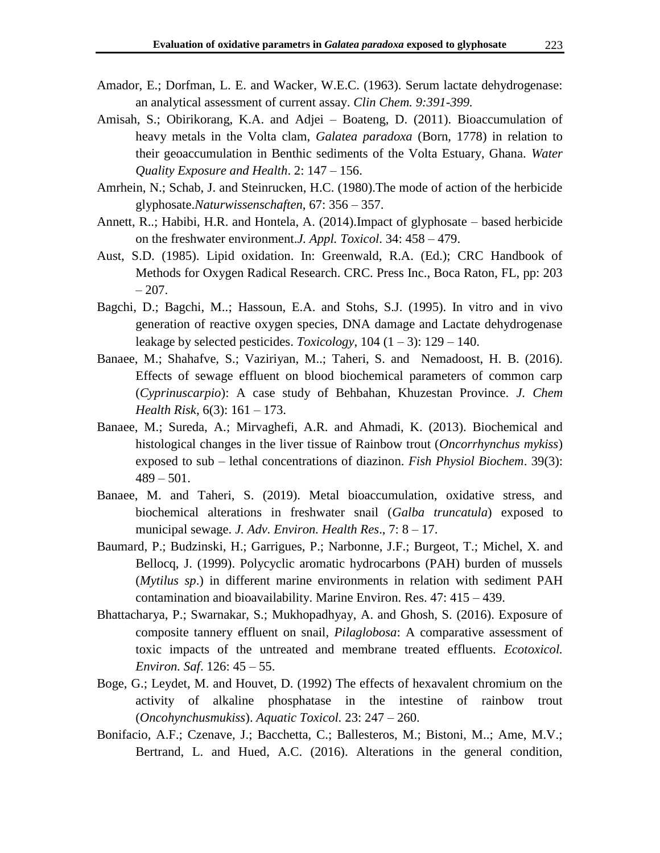- Amador, E.; Dorfman, L. E. and Wacker, W.E.C. (1963). Serum lactate dehydrogenase: an analytical assessment of current assay. *Clin Chem. 9:391-399.*
- Amisah, S.; Obirikorang, K.A. and Adjei Boateng, D. (2011). Bioaccumulation of heavy metals in the Volta clam, *Galatea paradoxa* (Born, 1778) in relation to their geoaccumulation in Benthic sediments of the Volta Estuary, Ghana. *Water Quality Exposure and Health*. 2: 147 – 156.
- Amrhein, N.; Schab, J. and Steinrucken, H.C. (1980).The mode of action of the herbicide glyphosate.*Naturwissenschaften*, 67: 356 – 357.
- Annett, R..; Habibi, H.R. and Hontela, A. (2014).Impact of glyphosate based herbicide on the freshwater environment.*J. Appl. Toxicol*. 34: 458 – 479.
- Aust, S.D. (1985). Lipid oxidation. In: Greenwald, R.A. (Ed.); CRC Handbook of Methods for Oxygen Radical Research. CRC. Press Inc., Boca Raton, FL, pp: 203  $-207.$
- Bagchi, D.; Bagchi, M..; Hassoun, E.A. and Stohs, S.J. (1995). In vitro and in vivo generation of reactive oxygen species, DNA damage and Lactate dehydrogenase leakage by selected pesticides. *Toxicology*,  $104 (1 – 3)$ :  $129 – 140$ .
- Banaee, M.; Shahafve, S.; Vaziriyan, M..; Taheri, S. and Nemadoost, H. B. (2016). Effects of sewage effluent on blood biochemical parameters of common carp (*Cyprinuscarpio*): A case study of Behbahan, Khuzestan Province. *J. Chem Health Risk*, 6(3): 161 – 173.
- Banaee, M.; Sureda, A.; Mirvaghefi, A.R. and Ahmadi, K. (2013). Biochemical and histological changes in the liver tissue of Rainbow trout (*Oncorrhynchus mykiss*) exposed to sub – lethal concentrations of diazinon. *Fish Physiol Biochem*. 39(3):  $489 - 501$ .
- Banaee, M. and Taheri, S. (2019). Metal bioaccumulation, oxidative stress, and biochemical alterations in freshwater snail (*Galba truncatula*) exposed to municipal sewage. *J. Adv. Environ. Health Res*., 7: 8 – 17.
- Baumard, P.; Budzinski, H.; Garrigues, P.; Narbonne, J.F.; Burgeot, T.; Michel, X. and Bellocq, J. (1999). Polycyclic aromatic hydrocarbons (PAH) burden of mussels (*Mytilus sp*.) in different marine environments in relation with sediment PAH contamination and bioavailability. Marine Environ. Res. 47: 415 – 439.
- Bhattacharya, P.; Swarnakar, S.; Mukhopadhyay, A. and Ghosh, S. (2016). Exposure of composite tannery effluent on snail, *Pilaglobosa*: A comparative assessment of toxic impacts of the untreated and membrane treated effluents. *Ecotoxicol. Environ. Saf*. 126: 45 – 55.
- Boge, G.; Leydet, M. and Houvet, D. (1992) The effects of hexavalent chromium on the activity of alkaline phosphatase in the intestine of rainbow trout (*Oncohynchusmukiss*). *Aquatic Toxicol.* 23: 247 – 260.
- Bonifacio, A.F.; Czenave, J.; Bacchetta, C.; Ballesteros, M.; Bistoni, M..; Ame, M.V.; Bertrand, L. and Hued, A.C. (2016). Alterations in the general condition,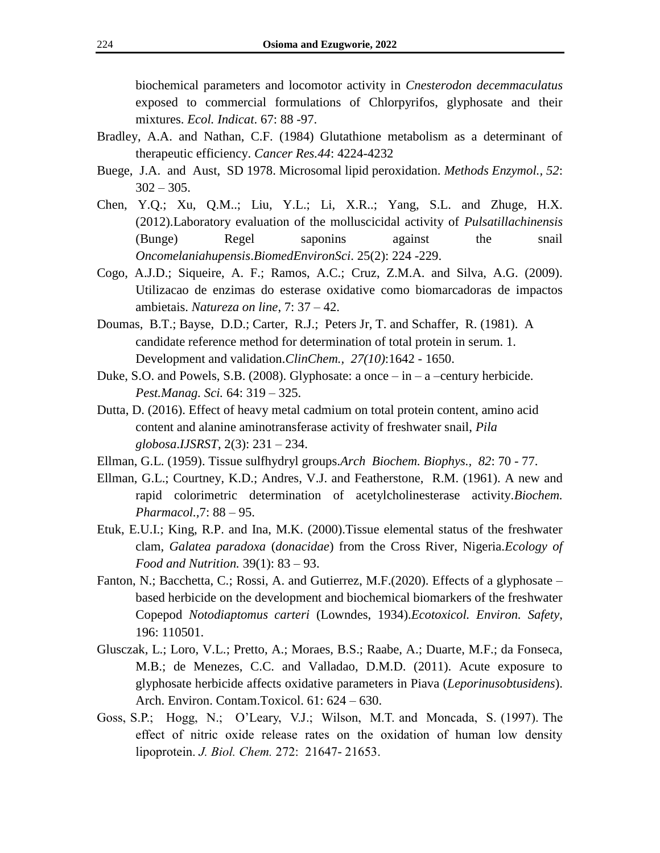biochemical parameters and locomotor activity in *Cnesterodon decemmaculatus* exposed to commercial formulations of Chlorpyrifos, glyphosate and their mixtures. *Ecol. Indicat*. 67: 88 -97.

- Bradley, A.A. and Nathan, C.F. (1984) Glutathione metabolism as a determinant of therapeutic efficiency. *Cancer Res.44*: 4224-4232
- Buege, J.A. and Aust, SD 1978. Microsomal lipid peroxidation. *Methods Enzymol., 52*:  $302 - 305$ .
- Chen, Y.Q.; Xu, Q.M..; Liu, Y.L.; Li, X.R..; Yang, S.L. and Zhuge, H.X. (2012).Laboratory evaluation of the molluscicidal activity of *Pulsatillachinensis* (Bunge) Regel saponins against the snail *Oncomelaniahupensis*.*BiomedEnvironSci*. 25(2): 224 -229.
- Cogo, A.J.D.; Siqueire, A. F.; Ramos, A.C.; Cruz, Z.M.A. and Silva, A.G. (2009). Utilizacao de enzimas do esterase oxidative como biomarcadoras de impactos ambietais. *Natureza on line*, 7: 37 – 42.
- Doumas, B.T.; Bayse, D.D.; Carter, R.J.; Peters Jr, T. and Schaffer, R. (1981). A candidate reference method for determination of total protein in serum. 1. Development and validation.*ClinChem., 27(10)*:1642 - 1650.
- Duke, S.O. and Powels, S.B. (2008). Glyphosate: a once  $-$  in  $-$  a  $-$ century herbicide. *Pest.Manag. Sci.* 64: 319 – 325.
- Dutta, D. (2016). Effect of heavy metal cadmium on total protein content, amino acid content and alanine aminotransferase activity of freshwater snail, *Pila globosa*.*IJSRST*, 2(3): 231 – 234.
- Ellman, G.L. (1959). Tissue sulfhydryl groups.*Arch Biochem. Biophys., 82*: 70 77.
- Ellman, G.L.; Courtney, K.D.; Andres, V.J. and Featherstone, R.M. (1961). A new and rapid colorimetric determination of acetylcholinesterase activity.*Biochem. Pharmacol.,*7: 88 – 95.
- Etuk, E.U.I.; King, R.P. and Ina, M.K. (2000).Tissue elemental status of the freshwater clam, *Galatea paradoxa* (*donacidae*) from the Cross River, Nigeria.*Ecology of Food and Nutrition.* 39(1): 83 – 93.
- Fanton, N.; Bacchetta, C.; Rossi, A. and Gutierrez, M.F.(2020). Effects of a glyphosate based herbicide on the development and biochemical biomarkers of the freshwater Copepod *Notodiaptomus carteri* (Lowndes, 1934).*Ecotoxicol. Environ. Safety*, 196: 110501.
- Glusczak, L.; Loro, V.L.; Pretto, A.; Moraes, B.S.; Raabe, A.; Duarte, M.F.; da Fonseca, M.B.; de Menezes, C.C. and Valladao, D.M.D. (2011). Acute exposure to glyphosate herbicide affects oxidative parameters in Piava (*Leporinusobtusidens*). Arch. Environ. Contam.Toxicol. 61: 624 – 630.
- Goss, S.P.; Hogg, N.; O"Leary, V.J.; Wilson, M.T. and Moncada, S. (1997). The effect of nitric oxide release rates on the oxidation of human low density lipoprotein. *J. Biol. Chem.* 272: 21647- 21653.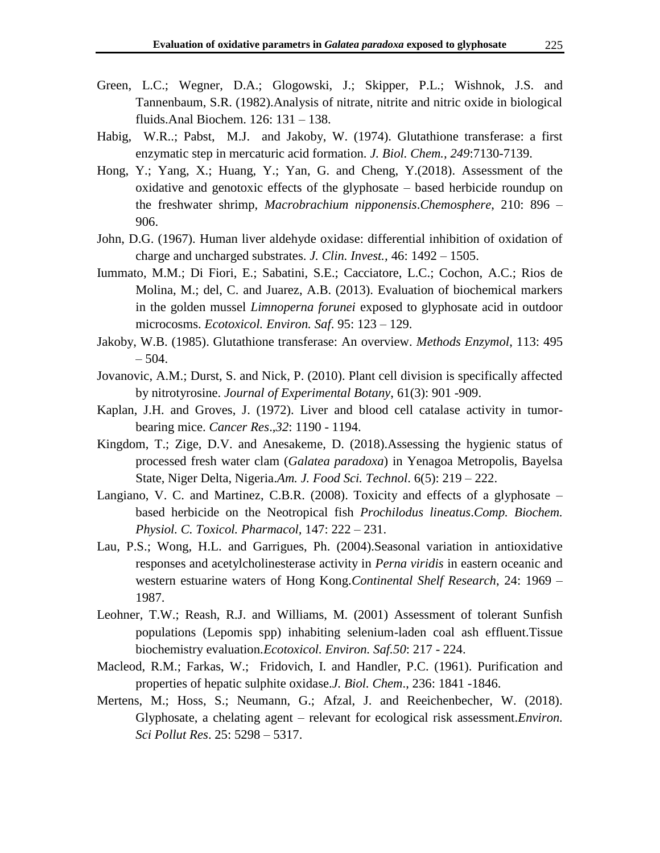- Green, L.C.; Wegner, D.A.; Glogowski, J.; Skipper, P.L.; Wishnok, J.S. and Tannenbaum, S.R. (1982).Analysis of nitrate, nitrite and nitric oxide in biological fluids.Anal Biochem. 126: 131 – 138.
- Habig, W.R..; Pabst, M.J. and Jakoby, W. (1974). Glutathione transferase: a first enzymatic step in mercaturic acid formation. *J. Biol. Chem., 249*:7130-7139.
- Hong, Y.; Yang, X.; Huang, Y.; Yan, G. and Cheng, Y.(2018). Assessment of the oxidative and genotoxic effects of the glyphosate – based herbicide roundup on the freshwater shrimp, *Macrobrachium nipponensis*.*Chemosphere*, 210: 896 – 906.
- John, D.G. (1967). Human liver aldehyde oxidase: differential inhibition of oxidation of charge and uncharged substrates. *J. Clin. Invest.,* 46: 1492 – 1505.
- Iummato, M.M.; Di Fiori, E.; Sabatini, S.E.; Cacciatore, L.C.; Cochon, A.C.; Rios de Molina, M.; del, C. and Juarez, A.B. (2013). Evaluation of biochemical markers in the golden mussel *Limnoperna forunei* exposed to glyphosate acid in outdoor microcosms. *Ecotoxicol. Environ. Saf*. 95: 123 – 129.
- Jakoby, W.B. (1985). Glutathione transferase: An overview. *Methods Enzymol*, 113: 495  $-504.$
- Jovanovic, A.M.; Durst, S. and Nick, P. (2010). Plant cell division is specifically affected by nitrotyrosine. *Journal of Experimental Botany*, 61(3): 901 -909.
- Kaplan, J.H. and Groves, J. (1972). Liver and blood cell catalase activity in tumorbearing mice. *Cancer Res*.,*32*: 1190 - 1194.
- Kingdom, T.; Zige, D.V. and Anesakeme, D. (2018).Assessing the hygienic status of processed fresh water clam (*Galatea paradoxa*) in Yenagoa Metropolis, Bayelsa State, Niger Delta, Nigeria.*Am. J. Food Sci. Technol*. 6(5): 219 – 222.
- Langiano, V. C. and Martinez, C.B.R. (2008). Toxicity and effects of a glyphosate based herbicide on the Neotropical fish *Prochilodus lineatus*.*Comp. Biochem. Physiol. C. Toxicol. Pharmacol,* 147: 222 – 231.
- Lau, P.S.; Wong, H.L. and Garrigues, Ph. (2004).Seasonal variation in antioxidative responses and acetylcholinesterase activity in *Perna viridis* in eastern oceanic and western estuarine waters of Hong Kong.*Continental Shelf Research*, 24: 1969 – 1987.
- Leohner, T.W.; Reash, R.J. and Williams, M. (2001) Assessment of tolerant Sunfish populations (Lepomis spp) inhabiting selenium-laden coal ash effluent.Tissue biochemistry evaluation.*Ecotoxicol. Environ. Saf.50*: 217 - 224.
- Macleod, R.M.; Farkas, W.; Fridovich, I. and Handler, P.C. (1961). Purification and properties of hepatic sulphite oxidase.*J. Biol. Chem*., 236: 1841 -1846.
- Mertens, M.; Hoss, S.; Neumann, G.; Afzal, J. and Reeichenbecher, W. (2018). Glyphosate, a chelating agent – relevant for ecological risk assessment.*Environ. Sci Pollut Res*. 25: 5298 – 5317.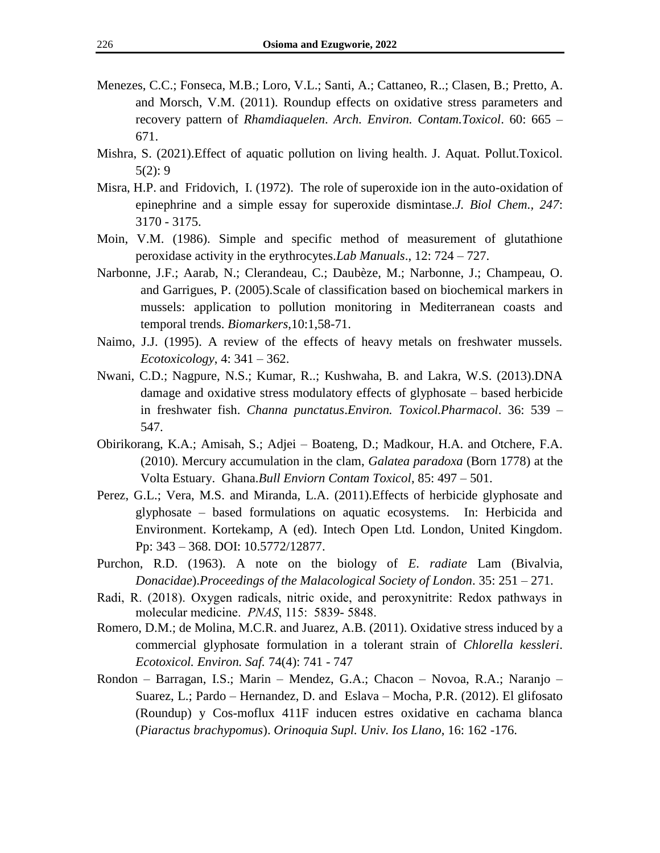- Menezes, C.C.; Fonseca, M.B.; Loro, V.L.; Santi, A.; Cattaneo, R..; Clasen, B.; Pretto, A. and Morsch, V.M. (2011). Roundup effects on oxidative stress parameters and recovery pattern of *Rhamdiaquelen*. *Arch. Environ. Contam.Toxicol*. 60: 665 – 671.
- Mishra, S. (2021).Effect of aquatic pollution on living health. J. Aquat. Pollut.Toxicol.  $5(2): 9$
- Misra, H.P. and Fridovich, I. (1972). The role of superoxide ion in the auto-oxidation of epinephrine and a simple essay for superoxide dismintase.*J. Biol Chem., 247*: 3170 - 3175.
- Moin, V.M. (1986). Simple and specific method of measurement of glutathione peroxidase activity in the erythrocytes.*Lab Manuals*., 12: 724 – 727.
- Narbonne, J.F.; Aarab, N.; Clerandeau, C.; Daubèze, M.; Narbonne, J.; Champeau, O. and Garrigues, P. (2005).Scale of classification based on biochemical markers in mussels: application to pollution monitoring in Mediterranean coasts and temporal trends. *Biomarkers*,10:1,58-71.
- Naimo, J.J. (1995). A review of the effects of heavy metals on freshwater mussels. *Ecotoxicology*, 4: 341 – 362.
- Nwani, C.D.; Nagpure, N.S.; Kumar, R..; Kushwaha, B. and Lakra, W.S. (2013).DNA damage and oxidative stress modulatory effects of glyphosate – based herbicide in freshwater fish. *Channa punctatus*.*Environ. Toxicol.Pharmacol*. 36: 539 – 547.
- Obirikorang, K.A.; Amisah, S.; Adjei Boateng, D.; Madkour, H.A. and Otchere, F.A. (2010). Mercury accumulation in the clam, *Galatea paradoxa* (Born 1778) at the Volta Estuary. Ghana.*Bull Enviorn Contam Toxicol*, 85: 497 – 501.
- Perez, G.L.; Vera, M.S. and Miranda, L.A. (2011).Effects of herbicide glyphosate and glyphosate – based formulations on aquatic ecosystems. In: Herbicida and Environment. Kortekamp, A (ed). Intech Open Ltd. London, United Kingdom. Pp: 343 – 368. DOI: 10.5772/12877.
- Purchon, R.D. (1963). A note on the biology of *E*. *radiate* Lam (Bivalvia, *Donacidae*).*Proceedings of the Malacological Society of London*. 35: 251 – 271.
- Radi, R. (2018). Oxygen radicals, nitric oxide, and peroxynitrite: Redox pathways in molecular medicine. *PNAS*, 115: 5839- 5848.
- Romero, D.M.; de Molina, M.C.R. and Juarez, A.B. (2011). Oxidative stress induced by a commercial glyphosate formulation in a tolerant strain of *Chlorella kessleri*. *Ecotoxicol. Environ. Saf.* 74(4): 741 - 747
- Rondon Barragan, I.S.; Marin Mendez, G.A.; Chacon Novoa, R.A.; Naranjo Suarez, L.; Pardo – Hernandez, D. and Eslava – Mocha, P.R. (2012). El glifosato (Roundup) y Cos-moflux 411F inducen estres oxidative en cachama blanca (*Piaractus brachypomus*). *Orinoquia Supl. Univ. Ios Llano*, 16: 162 -176.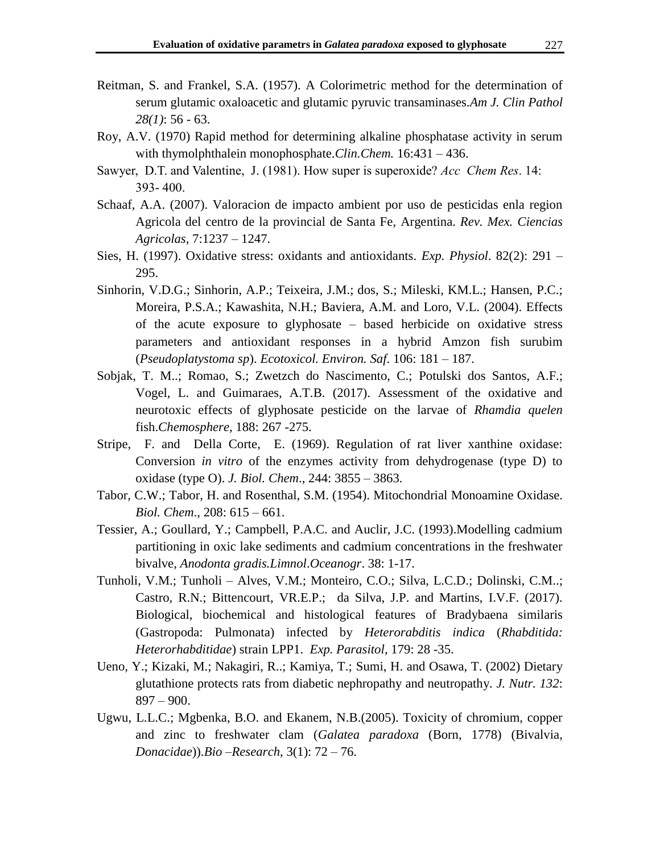- Reitman, S. and Frankel, S.A. (1957). A Colorimetric method for the determination of serum glutamic oxaloacetic and glutamic pyruvic transaminases.*Am J. Clin Pathol 28(1)*: 56 - 63.
- Roy, A.V. (1970) Rapid method for determining alkaline phosphatase activity in serum with thymolphthalein monophosphate.*Clin.Chem.* 16:431 – 436.
- Sawyer, D.T. and Valentine, J. (1981). How super is superoxide? *Acc Chem Res*. 14: 393- 400.
- Schaaf, A.A. (2007). Valoracion de impacto ambient por uso de pesticidas enla region Agricola del centro de la provincial de Santa Fe, Argentina. *Rev. Mex. Ciencias Agricolas*, 7:1237 – 1247.
- Sies, H. (1997). Oxidative stress: oxidants and antioxidants. *Exp. Physiol*. 82(2): 291 295.
- Sinhorin, V.D.G.; Sinhorin, A.P.; Teixeira, J.M.; dos, S.; Mileski, KM.L.; Hansen, P.C.; Moreira, P.S.A.; Kawashita, N.H.; Baviera, A.M. and Loro, V.L. (2004). Effects of the acute exposure to glyphosate – based herbicide on oxidative stress parameters and antioxidant responses in a hybrid Amzon fish surubim (*Pseudoplatystoma sp*). *Ecotoxicol. Environ. Saf*. 106: 181 – 187.
- Sobjak, T. M..; Romao, S.; Zwetzch do Nascimento, C.; Potulski dos Santos, A.F.; Vogel, L. and Guimaraes, A.T.B. (2017). Assessment of the oxidative and neurotoxic effects of glyphosate pesticide on the larvae of *Rhamdia quelen* fish.*Chemosphere*, 188: 267 -275.
- Stripe, F. and Della Corte, E. (1969). Regulation of rat liver xanthine oxidase: Conversion *in vitro* of the enzymes activity from dehydrogenase (type D) to oxidase (type O). *J. Biol. Chem*., 244: 3855 – 3863.
- Tabor, C.W.; Tabor, H. and Rosenthal, S.M. (1954). Mitochondrial Monoamine Oxidase. *Biol. Chem*., 208: 615 – 661.
- Tessier, A.; Goullard, Y.; Campbell, P.A.C. and Auclir, J.C. (1993).Modelling cadmium partitioning in oxic lake sediments and cadmium concentrations in the freshwater bivalve, *Anodonta gradis.Limnol*.*Oceanogr*. 38: 1-17.
- Tunholi, V.M.; Tunholi Alves, V.M.; Monteiro, C.O.; Silva, L.C.D.; Dolinski, C.M..; Castro, R.N.; Bittencourt, VR.E.P.; da Silva, J.P. and Martins, I.V.F. (2017). Biological, biochemical and histological features of Bradybaena similaris (Gastropoda: Pulmonata) infected by *Heterorabditis indica* (*Rhabditida: Heterorhabditidae*) strain LPP1. *Exp. Parasitol*, 179: 28 -35.
- Ueno, Y.; Kizaki, M.; Nakagiri, R..; Kamiya, T.; Sumi, H. and Osawa, T. (2002) Dietary glutathione protects rats from diabetic nephropathy and neutropathy. *J. Nutr. 132*:  $897 - 900.$
- Ugwu, L.L.C.; Mgbenka, B.O. and Ekanem, N.B.(2005). Toxicity of chromium, copper and zinc to freshwater clam (*Galatea paradoxa* (Born, 1778) (Bivalvia, *Donacidae*)).*Bio –Research*, 3(1): 72 – 76.